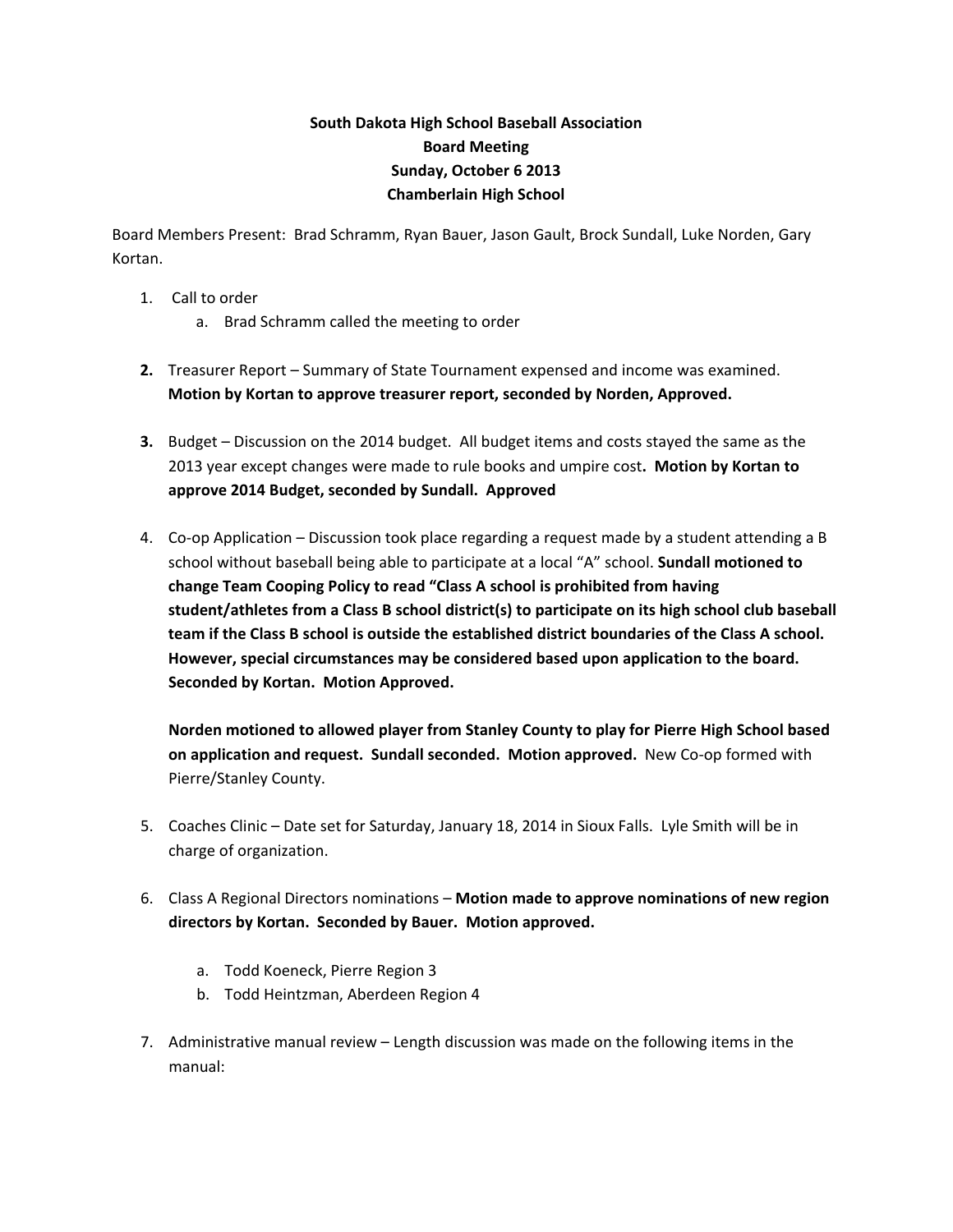## **South Dakota High School Baseball Association Board Meeting Sunday, October 6 2013 Chamberlain High School**

Board Members Present: Brad Schramm, Ryan Bauer, Jason Gault, Brock Sundall, Luke Norden, Gary Kortan.

- 1. Call to order
	- a. Brad Schramm called the meeting to order
- **2.** Treasurer Report Summary of State Tournament expensed and income was examined. **Motion by Kortan to approve treasurer report, seconded by Norden, Approved.**
- **3.** Budget Discussion on the 2014 budget. All budget items and costs stayed the same as the 2013 year except changes were made to rule books and umpire cost**. Motion by Kortan to approve 2014 Budget, seconded by Sundall. Approved**
- 4. Co-op Application Discussion took place regarding a request made by a student attending a B school without baseball being able to participate at a local "A" school. **Sundall motioned to change Team Cooping Policy to read "Class A school is prohibited from having student/athletes from a Class B school district(s) to participate on its high school club baseball team if the Class B school is outside the established district boundaries of the Class A school. However, special circumstances may be considered based upon application to the board. Seconded by Kortan. Motion Approved.**

**Norden motioned to allowed player from Stanley County to play for Pierre High School based on application and request. Sundall seconded. Motion approved.** New Co‐op formed with Pierre/Stanley County.

- 5. Coaches Clinic Date set for Saturday, January 18, 2014 in Sioux Falls. Lyle Smith will be in charge of organization.
- 6. Class A Regional Directors nominations **Motion made to approve nominations of new region directors by Kortan. Seconded by Bauer. Motion approved.**
	- a. Todd Koeneck, Pierre Region 3
	- b. Todd Heintzman, Aberdeen Region 4
- 7. Administrative manual review Length discussion was made on the following items in the manual: